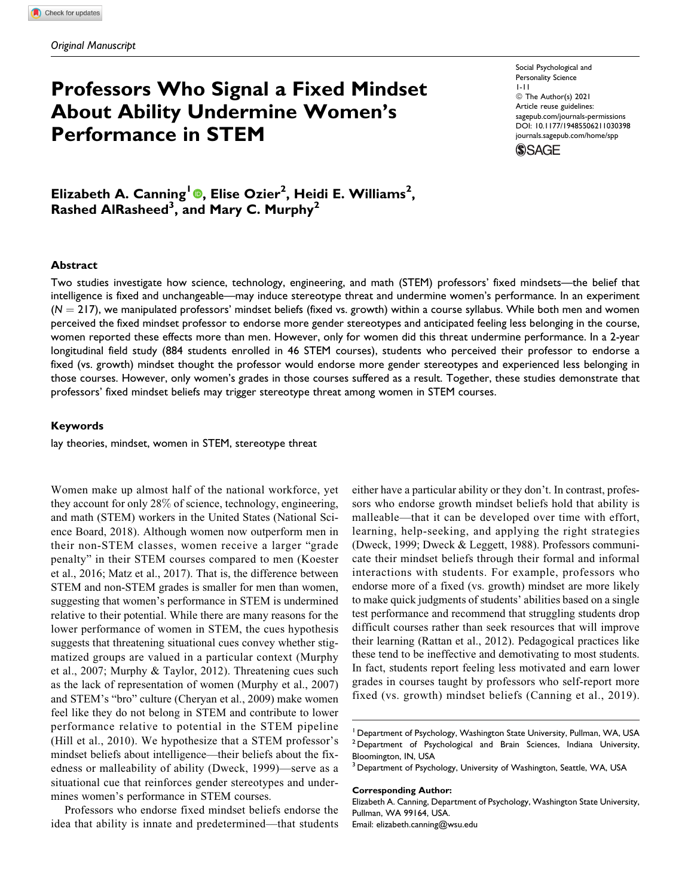# **Professors Who Signal a Fixed Mindset About Ability Undermine Women's Performance in STEM**

Social Psychological and Personality Science 1-11 © The Author(s) 2021 Article reuse guidelines: [sagepub.com/journals-permissions](https://sagepub.com/journals-permissions) [DOI: 10.1177/19485506211030398](https://doi.org/10.1177/19485506211030398) [journals.sagepub.com/home/spp](http://journals.sagepub.com/home/spp)



**Elizabeth A. Canning<sup>1</sup> [,](https://orcid.org/0000-0002-6864-2224) Elise Ozier<sup>2</sup> , Heidi E. Williams<sup>2</sup> , Rashed AlRasheed3 , and Mary C. Murphy<sup>2</sup>**

#### **Abstract**

Two studies investigate how science, technology, engineering, and math (STEM) professors' fixed mindsets—the belief that intelligence is fixed and unchangeable—may induce stereotype threat and undermine women's performance. In an experiment  $(N = 217)$ , we manipulated professors' mindset beliefs (fixed vs. growth) within a course syllabus. While both men and women perceived the fixed mindset professor to endorse more gender stereotypes and anticipated feeling less belonging in the course, women reported these effects more than men. However, only for women did this threat undermine performance. In a 2-year longitudinal field study (884 students enrolled in 46 STEM courses), students who perceived their professor to endorse a fixed (vs. growth) mindset thought the professor would endorse more gender stereotypes and experienced less belonging in those courses. However, only women's grades in those courses suffered as a result. Together, these studies demonstrate that professors' fixed mindset beliefs may trigger stereotype threat among women in STEM courses.

#### **Keywords**

lay theories, mindset, women in STEM, stereotype threat

Women make up almost half of the national workforce, yet they account for only 28% of science, technology, engineering, and math (STEM) workers in the United States [\(National Sci](#page-9-0)[ence Board, 2018](#page-9-0)). Although women now outperform men in their non-STEM classes, women receive a larger "grade penalty" in their STEM courses compared to men ([Koester](#page-9-0) [et al., 2016](#page-9-0); [Matz et al., 2017\)](#page-9-0). That is, the difference between STEM and non-STEM grades is smaller for men than women, suggesting that women's performance in STEM is undermined relative to their potential. While there are many reasons for the lower performance of women in STEM, the cues hypothesis suggests that threatening situational cues convey whether stigmatized groups are valued in a particular context ([Murphy](#page-9-0) [et al., 2007](#page-9-0); [Murphy & Taylor, 2012](#page-9-0)). Threatening cues such as the lack of representation of women ([Murphy et al., 2007](#page-9-0)) and STEM's "bro" culture ([Cheryan et al., 2009](#page-9-0)) make women feel like they do not belong in STEM and contribute to lower performance relative to potential in the STEM pipeline ([Hill et al., 2010](#page-9-0)). We hypothesize that a STEM professor's mindset beliefs about intelligence—their beliefs about the fixedness or malleability of ability [\(Dweck, 1999\)](#page-9-0)—serve as a situational cue that reinforces gender stereotypes and undermines women's performance in STEM courses.

Professors who endorse fixed mindset beliefs endorse the idea that ability is innate and predetermined—that students either have a particular ability or they don't. In contrast, professors who endorse growth mindset beliefs hold that ability is malleable—that it can be developed over time with effort, learning, help-seeking, and applying the right strategies ([Dweck, 1999; Dweck & Leggett, 1988](#page-9-0)). Professors communicate their mindset beliefs through their formal and informal interactions with students. For example, professors who endorse more of a fixed (vs. growth) mindset are more likely to make quick judgments of students' abilities based on a single test performance and recommend that struggling students drop difficult courses rather than seek resources that will improve their learning [\(Rattan et al., 2012](#page-10-0)). Pedagogical practices like these tend to be ineffective and demotivating to most students. In fact, students report feeling less motivated and earn lower grades in courses taught by professors who self-report more fixed (vs. growth) mindset beliefs ([Canning et al., 2019](#page-9-0)).

#### **Corresponding Author:**

Elizabeth A. Canning, Department of Psychology, Washington State University, Pullman, WA 99164, USA.

Email: [elizabeth.canning@wsu.edu](mailto:elizabeth.canning@wsu.edu)

<sup>&</sup>lt;sup>1</sup> Department of Psychology, Washington State University, Pullman, WA, USA  $2$  Department of Psychological and Brain Sciences, Indiana University, Bloomington, IN, USA

<sup>&</sup>lt;sup>3</sup> Department of Psychology, University of Washington, Seattle, WA, USA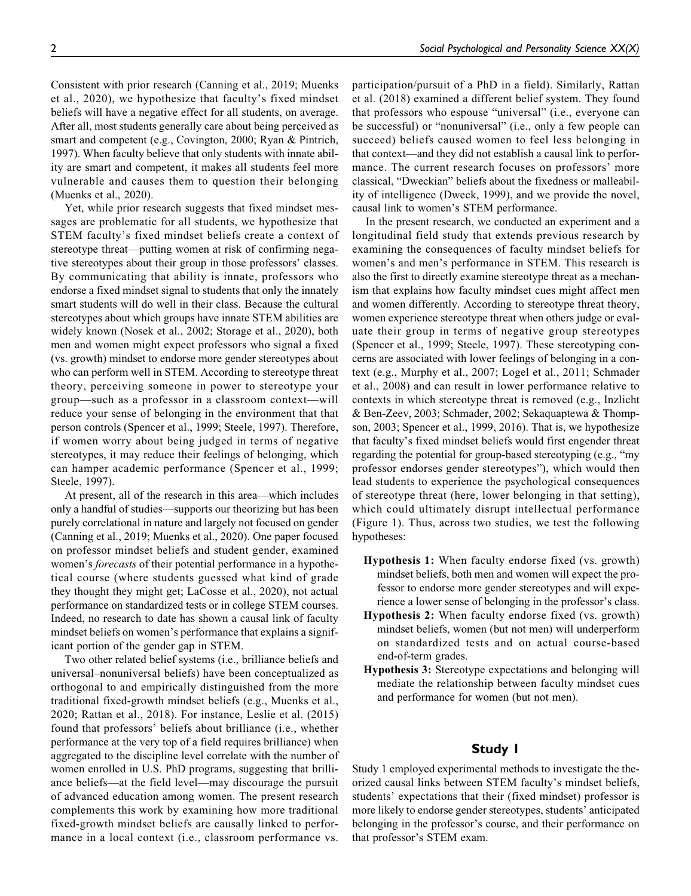Consistent with prior research ([Canning et al., 2019](#page-9-0); [Muenks](#page-9-0) [et al., 2020](#page-9-0)), we hypothesize that faculty's fixed mindset beliefs will have a negative effect for all students, on average. After all, most students generally care about being perceived as smart and competent (e.g., [Covington, 2000](#page-9-0); [Ryan & Pintrich,](#page-10-0) [1997](#page-10-0)). When faculty believe that only students with innate ability are smart and competent, it makes all students feel more vulnerable and causes them to question their belonging ([Muenks et al., 2020](#page-9-0)).

Yet, while prior research suggests that fixed mindset messages are problematic for all students, we hypothesize that STEM faculty's fixed mindset beliefs create a context of stereotype threat—putting women at risk of confirming negative stereotypes about their group in those professors' classes. By communicating that ability is innate, professors who endorse a fixed mindset signal to students that only the innately smart students will do well in their class. Because the cultural stereotypes about which groups have innate STEM abilities are widely known ([Nosek et al., 2002](#page-10-0); [Storage et al., 2020\)](#page-10-0), both men and women might expect professors who signal a fixed (vs. growth) mindset to endorse more gender stereotypes about who can perform well in STEM. According to stereotype threat theory, perceiving someone in power to stereotype your group—such as a professor in a classroom context—will reduce your sense of belonging in the environment that that person controls ([Spencer et al., 1999; Steele, 1997](#page-10-0)). Therefore, if women worry about being judged in terms of negative stereotypes, it may reduce their feelings of belonging, which can hamper academic performance ([Spencer et al., 1999;](#page-10-0) [Steele, 1997](#page-10-0)).

At present, all of the research in this area—which includes only a handful of studies—supports our theorizing but has been purely correlational in nature and largely not focused on gender ([Canning et al., 2019](#page-9-0); [Muenks et al., 2020\)](#page-9-0). One paper focused on professor mindset beliefs and student gender, examined women's *forecasts* of their potential performance in a hypothetical course (where students guessed what kind of grade they thought they might get; [LaCosse et al., 2020\)](#page-9-0), not actual performance on standardized tests or in college STEM courses. Indeed, no research to date has shown a causal link of faculty mindset beliefs on women's performance that explains a significant portion of the gender gap in STEM.

Two other related belief systems (i.e., brilliance beliefs and universal–nonuniversal beliefs) have been conceptualized as orthogonal to and empirically distinguished from the more traditional fixed-growth mindset beliefs (e.g., [Muenks et al.,](#page-9-0) [2020](#page-9-0); [Rattan et al., 2018\)](#page-10-0). For instance, [Leslie et al. \(2015\)](#page-9-0) found that professors' beliefs about brilliance (i.e., whether performance at the very top of a field requires brilliance) when aggregated to the discipline level correlate with the number of women enrolled in U.S. PhD programs, suggesting that brilliance beliefs—at the field level—may discourage the pursuit of advanced education among women. The present research complements this work by examining how more traditional fixed-growth mindset beliefs are causally linked to performance in a local context (i.e., classroom performance vs.

participation/pursuit of a PhD in a field). Similarly, [Rattan](#page-10-0) [et al. \(2018\)](#page-10-0) examined a different belief system. They found that professors who espouse "universal" (i.e., everyone can be successful) or "nonuniversal" (i.e., only a few people can succeed) beliefs caused women to feel less belonging in that context—and they did not establish a causal link to performance. The current research focuses on professors' more classical, "Dweckian" beliefs about the fixedness or malleability of intelligence [\(Dweck, 1999\)](#page-9-0), and we provide the novel, causal link to women's STEM performance.

In the present research, we conducted an experiment and a longitudinal field study that extends previous research by examining the consequences of faculty mindset beliefs for women's and men's performance in STEM. This research is also the first to directly examine stereotype threat as a mechanism that explains how faculty mindset cues might affect men and women differently. According to stereotype threat theory, women experience stereotype threat when others judge or evaluate their group in terms of negative group stereotypes ([Spencer et al., 1999](#page-10-0); [Steele, 1997](#page-10-0)). These stereotyping concerns are associated with lower feelings of belonging in a context (e.g., [Murphy et al., 2007](#page-9-0); [Logel et al., 2011;](#page-9-0) [Schmader](#page-10-0) [et al., 2008\)](#page-10-0) and can result in lower performance relative to contexts in which stereotype threat is removed (e.g., [Inzlicht](#page-9-0) [& Ben-Zeev, 2003;](#page-9-0) [Schmader, 2002](#page-10-0); [Sekaquaptewa & Thomp](#page-10-0)[son, 2003](#page-10-0); [Spencer et al., 1999, 2016\)](#page-10-0). That is, we hypothesize that faculty's fixed mindset beliefs would first engender threat regarding the potential for group-based stereotyping (e.g., "my professor endorses gender stereotypes"), which would then lead students to experience the psychological consequences of stereotype threat (here, lower belonging in that setting), which could ultimately disrupt intellectual performance ([Figure 1](#page-2-0)). Thus, across two studies, we test the following hypotheses:

- Hypothesis 1: When faculty endorse fixed (vs. growth) mindset beliefs, both men and women will expect the professor to endorse more gender stereotypes and will experience a lower sense of belonging in the professor's class.
- Hypothesis 2: When faculty endorse fixed (vs. growth) mindset beliefs, women (but not men) will underperform on standardized tests and on actual course-based end-of-term grades.
- Hypothesis 3: Stereotype expectations and belonging will mediate the relationship between faculty mindset cues and performance for women (but not men).

# **Study 1**

Study 1 employed experimental methods to investigate the theorized causal links between STEM faculty's mindset beliefs, students' expectations that their (fixed mindset) professor is more likely to endorse gender stereotypes, students' anticipated belonging in the professor's course, and their performance on that professor's STEM exam.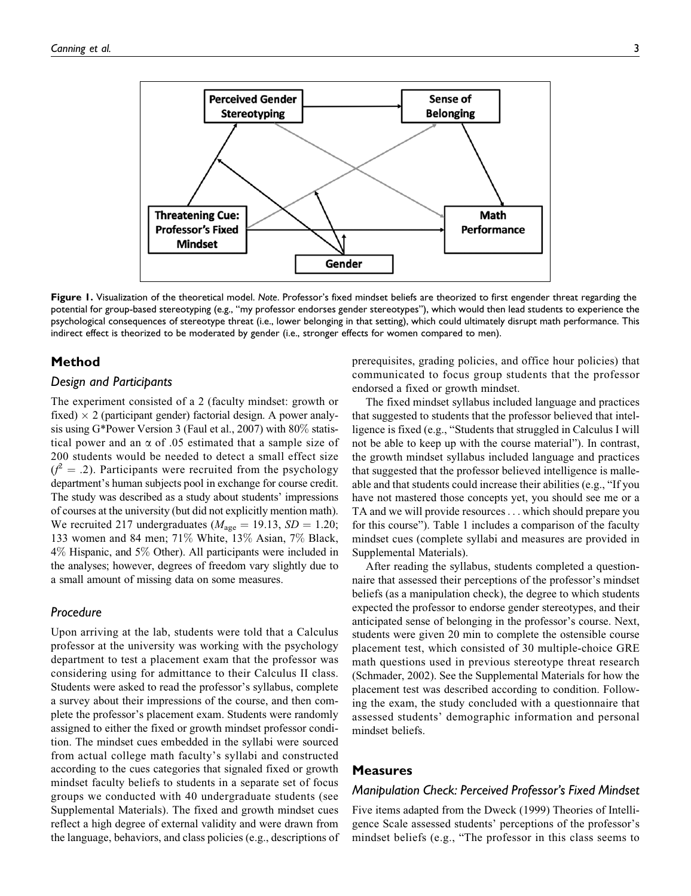<span id="page-2-0"></span>

**Figure 1.** Visualization of the theoretical model. *Note*. Professor's fixed mindset beliefs are theorized to first engender threat regarding the potential for group-based stereotyping (e.g., "my professor endorses gender stereotypes"), which would then lead students to experience the psychological consequences of stereotype threat (i.e., lower belonging in that setting), which could ultimately disrupt math performance. This indirect effect is theorized to be moderated by gender (i.e., stronger effects for women compared to men).

## **Method**

#### *Design and Participants*

The experiment consisted of a 2 (faculty mindset: growth or fixed)  $\times$  2 (participant gender) factorial design. A power analysis using G\*Power Version 3 ([Faul et al., 2007\)](#page-9-0) with 80% statistical power and an  $\alpha$  of .05 estimated that a sample size of 200 students would be needed to detect a small effect size  $(f^2 = .2)$ . Participants were recruited from the psychology department's human subjects pool in exchange for course credit. The study was described as a study about students' impressions of courses at the university (but did not explicitly mention math). We recruited 217 undergraduates ( $M_{\text{age}} = 19.13$ ,  $SD = 1.20$ ; 133 women and 84 men; 71% White, 13% Asian, 7% Black, 4% Hispanic, and 5% Other). All participants were included in the analyses; however, degrees of freedom vary slightly due to a small amount of missing data on some measures.

## *Procedure*

Upon arriving at the lab, students were told that a Calculus professor at the university was working with the psychology department to test a placement exam that the professor was considering using for admittance to their Calculus II class. Students were asked to read the professor's syllabus, complete a survey about their impressions of the course, and then complete the professor's placement exam. Students were randomly assigned to either the fixed or growth mindset professor condition. The mindset cues embedded in the syllabi were sourced from actual college math faculty's syllabi and constructed according to the cues categories that signaled fixed or growth mindset faculty beliefs to students in a separate set of focus groups we conducted with 40 undergraduate students (see Supplemental Materials). The fixed and growth mindset cues reflect a high degree of external validity and were drawn from the language, behaviors, and class policies (e.g., descriptions of prerequisites, grading policies, and office hour policies) that communicated to focus group students that the professor endorsed a fixed or growth mindset.

The fixed mindset syllabus included language and practices that suggested to students that the professor believed that intelligence is fixed (e.g., "Students that struggled in Calculus I will not be able to keep up with the course material"). In contrast, the growth mindset syllabus included language and practices that suggested that the professor believed intelligence is malleable and that students could increase their abilities (e.g., "If you have not mastered those concepts yet, you should see me or a TA and we will provide resources... which should prepare you for this course"). [Table 1](#page-3-0) includes a comparison of the faculty mindset cues (complete syllabi and measures are provided in Supplemental Materials).

After reading the syllabus, students completed a questionnaire that assessed their perceptions of the professor's mindset beliefs (as a manipulation check), the degree to which students expected the professor to endorse gender stereotypes, and their anticipated sense of belonging in the professor's course. Next, students were given 20 min to complete the ostensible course placement test, which consisted of 30 multiple-choice GRE math questions used in previous stereotype threat research ([Schmader, 2002\)](#page-10-0). See the Supplemental Materials for how the placement test was described according to condition. Following the exam, the study concluded with a questionnaire that assessed students' demographic information and personal mindset beliefs.

## **Measures**

#### *Manipulation Check: Perceived Professor's Fixed Mindset*

Five items adapted from the [Dweck \(1999\)](#page-9-0) Theories of Intelligence Scale assessed students' perceptions of the professor's mindset beliefs (e.g., "The professor in this class seems to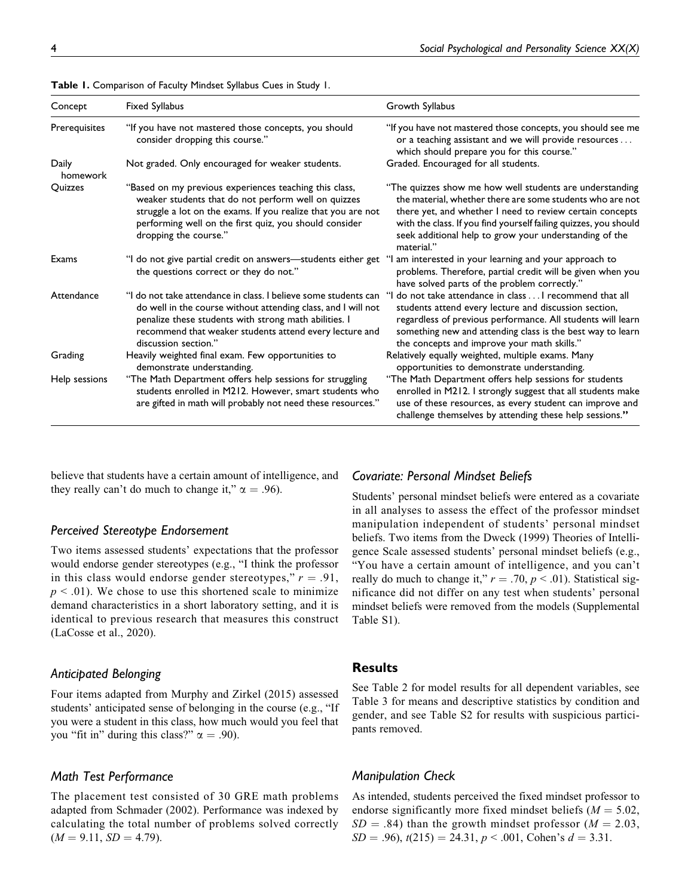| Concept           | Fixed Syllabus                                                                                                                                                                                                                                                               | Growth Syllabus                                                                                                                                                                                                                                                                                                               |
|-------------------|------------------------------------------------------------------------------------------------------------------------------------------------------------------------------------------------------------------------------------------------------------------------------|-------------------------------------------------------------------------------------------------------------------------------------------------------------------------------------------------------------------------------------------------------------------------------------------------------------------------------|
| Prerequisites     | "If you have not mastered those concepts, you should<br>consider dropping this course."                                                                                                                                                                                      | "If you have not mastered those concepts, you should see me<br>or a teaching assistant and we will provide resources<br>which should prepare you for this course."                                                                                                                                                            |
| Daily<br>homework | Not graded. Only encouraged for weaker students.                                                                                                                                                                                                                             | Graded. Encouraged for all students.                                                                                                                                                                                                                                                                                          |
| Quizzes           | "Based on my previous experiences teaching this class,<br>weaker students that do not perform well on quizzes<br>struggle a lot on the exams. If you realize that you are not<br>performing well on the first quiz, you should consider<br>dropping the course."             | "The quizzes show me how well students are understanding<br>the material, whether there are some students who are not<br>there yet, and whether I need to review certain concepts<br>with the class. If you find yourself failing quizzes, you should<br>seek additional help to grow your understanding of the<br>material." |
| Exams             | "I do not give partial credit on answers—students either get "I am interested in your learning and your approach to<br>the questions correct or they do not."                                                                                                                | problems. Therefore, partial credit will be given when you<br>have solved parts of the problem correctly."                                                                                                                                                                                                                    |
| Attendance        | "I do not take attendance in class. I believe some students can<br>do well in the course without attending class, and I will not<br>penalize these students with strong math abilities. I<br>recommend that weaker students attend every lecture and<br>discussion section." | "I do not take attendance in class I recommend that all<br>students attend every lecture and discussion section,<br>regardless of previous performance. All students will learn<br>something new and attending class is the best way to learn<br>the concepts and improve your math skills."                                  |
| Grading           | Heavily weighted final exam. Few opportunities to<br>demonstrate understanding.                                                                                                                                                                                              | Relatively equally weighted, multiple exams. Many<br>opportunities to demonstrate understanding.                                                                                                                                                                                                                              |
| Help sessions     | "The Math Department offers help sessions for struggling<br>students enrolled in M212. However, smart students who<br>are gifted in math will probably not need these resources."                                                                                            | "The Math Department offers help sessions for students<br>enrolled in M212. I strongly suggest that all students make<br>use of these resources, as every student can improve and<br>challenge themselves by attending these help sessions."                                                                                  |

<span id="page-3-0"></span>**Table 1.** Comparison of Faculty Mindset Syllabus Cues in Study 1.

believe that students have a certain amount of intelligence, and they really can't do much to change it,"  $\alpha = .96$ ).

## *Perceived Stereotype Endorsement*

Two items assessed students' expectations that the professor would endorse gender stereotypes (e.g., "I think the professor in this class would endorse gender stereotypes,"  $r = .91$ ,  $p < .01$ ). We chose to use this shortened scale to minimize demand characteristics in a short laboratory setting, and it is identical to previous research that measures this construct ([LaCosse et al., 2020\)](#page-9-0).

#### *Anticipated Belonging*

Four items adapted from [Murphy and Zirkel \(2015\)](#page-9-0) assessed students' anticipated sense of belonging in the course (e.g., "If you were a student in this class, how much would you feel that you "fit in" during this class?"  $\alpha = .90$ ).

## *Math Test Performance*

The placement test consisted of 30 GRE math problems adapted from [Schmader \(2002\).](#page-10-0) Performance was indexed by calculating the total number of problems solved correctly  $(M = 9.11, SD = 4.79).$ 

### *Covariate: Personal Mindset Beliefs*

Students' personal mindset beliefs were entered as a covariate in all analyses to assess the effect of the professor mindset manipulation independent of students' personal mindset beliefs. Two items from the [Dweck \(1999\)](#page-9-0) Theories of Intelligence Scale assessed students' personal mindset beliefs (e.g., "You have a certain amount of intelligence, and you can't really do much to change it,"  $r = .70$ ,  $p < .01$ ). Statistical significance did not differ on any test when students' personal mindset beliefs were removed from the models (Supplemental Table S1).

#### **Results**

See [Table 2](#page-4-0) for model results for all dependent variables, see [Table 3](#page-4-0) for means and descriptive statistics by condition and gender, and see Table S2 for results with suspicious participants removed.

## *Manipulation Check*

As intended, students perceived the fixed mindset professor to endorse significantly more fixed mindset beliefs ( $M = 5.02$ ,  $SD = .84$ ) than the growth mindset professor ( $M = 2.03$ ,  $SD = .96$ ,  $t(215) = 24.31$ ,  $p < .001$ , Cohen's  $d = 3.31$ .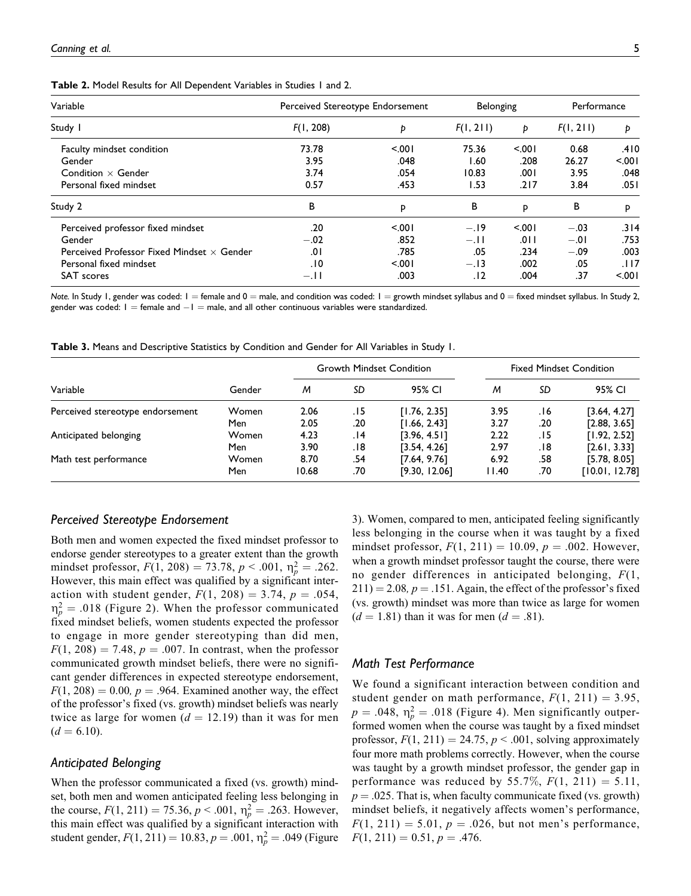| Variable                                          | Perceived Stereotype Endorsement |      | Belonging |         | Performance |       |
|---------------------------------------------------|----------------------------------|------|-----------|---------|-------------|-------|
| Study I                                           | F(1, 208)                        | Þ    | F(1, 211) | Þ       | F(1, 211)   | Ð     |
| Faculty mindset condition                         | 73.78                            | 5001 | 75.36     | $500 -$ | 0.68        | .410  |
| Gender                                            | 3.95                             | .048 | 60. ا     | .208    | 26.27       | 5.001 |
| Condition $\times$ Gender                         | 3.74                             | .054 | 10.83     | 00۱.    | 3.95        | .048  |
| Personal fixed mindset                            | 0.57                             | .453 | 1.53      | .217    | 3.84        | .051  |
| Study 2                                           | в                                | P    | в         | P       | В           | P     |
| Perceived professor fixed mindset                 | .20                              | 5001 | $-.19$    | $500 -$ | $-.03$      | .314  |
| Gender                                            | $-.02$                           | .852 | $-.11$    | .0 I I  | $-.01$      | .753  |
| Perceived Professor Fixed Mindset $\times$ Gender | 0١.                              | .785 | .05       | .234    | $-.09$      | .003  |
| Personal fixed mindset                            | .10                              | 5001 | $-.13$    | .002    | .05         | .117  |
| <b>SAT</b> scores                                 | $-.11$                           | .003 | . 12      | .004    | .37         | 5.001 |

<span id="page-4-0"></span>**Table 2.** Model Results for All Dependent Variables in Studies 1 and 2.

Note. In Study 1, gender was coded:  $1 =$  female and  $0 =$  male, and condition was coded:  $1 =$  growth mindset syllabus and  $0 =$  fixed mindset syllabus. In Study 2, gender was coded:  $I =$  female and  $-I =$  male, and all other continuous variables were standardized.

**Table 3.** Means and Descriptive Statistics by Condition and Gender for All Variables in Study 1.

|                                  | Gender | <b>Growth Mindset Condition</b> |     |               | <b>Fixed Mindset Condition</b> |     |                |
|----------------------------------|--------|---------------------------------|-----|---------------|--------------------------------|-----|----------------|
| Variable                         |        | M                               | SD  | 95% CI        | M                              | SD  | 95% CI         |
| Perceived stereotype endorsement | Women  | 2.06                            | .15 | [1.76, 2.35]  | 3.95                           | 16. | [3.64, 4.27]   |
|                                  | Men    | 2.05                            | .20 | [1.66, 2.43]  | 3.27                           | .20 | [2.88, 3.65]   |
| Anticipated belonging            | Women  | 4.23                            | 14. | [3.96, 4.5]   | 2.22                           | 15. | [1.92, 2.52]   |
|                                  | Men    | 3.90                            | 18. | [3.54, 4.26]  | 2.97                           | 18. | [2.61, 3.33]   |
| Math test performance            | Women  | 8.70                            | .54 | [7.64, 9.76]  | 6.92                           | .58 | [5.78, 8.05]   |
|                                  | Men    | 10.68                           | .70 | [9.30, 12.06] | 11.40                          | .70 | [10.01, 12.78] |

#### *Perceived Stereotype Endorsement*

Both men and women expected the fixed mindset professor to endorse gender stereotypes to a greater extent than the growth mindset professor,  $F(1, 208) = 73.78$ ,  $p < .001$ ,  $\eta_p^2 = .262$ . However, this main effect was qualified by a significant interaction with student gender,  $F(1, 208) = 3.74$ ,  $p = .054$ ,  $\eta_p^2 = .018$  ([Figure 2\)](#page-5-0). When the professor communicated fixed mindset beliefs, women students expected the professor to engage in more gender stereotyping than did men,  $F(1, 208) = 7.48$ ,  $p = .007$ . In contrast, when the professor communicated growth mindset beliefs, there were no significant gender differences in expected stereotype endorsement,  $F(1, 208) = 0.00$ ,  $p = .964$ . Examined another way, the effect of the professor's fixed (vs. growth) mindset beliefs was nearly twice as large for women  $(d = 12.19)$  than it was for men  $(d = 6.10).$ 

#### *Anticipated Belonging*

When the professor communicated a fixed (vs. growth) mindset, both men and women anticipated feeling less belonging in the course,  $F(1, 211) = 75.36, p < .001, \eta_p^2 = .263$ . However, this main effect was qualified by a significant interaction with student gender,  $F(1, 211) = 10.83$ ,  $p = .001$ ,  $\eta_p^2 = .049$  [\(Figure](#page-5-0) [3](#page-5-0)). Women, compared to men, anticipated feeling significantly less belonging in the course when it was taught by a fixed mindset professor,  $F(1, 211) = 10.09$ ,  $p = .002$ . However, when a growth mindset professor taught the course, there were no gender differences in anticipated belonging,  $F(1,$  $211$ ) = 2.08, p = .151. Again, the effect of the professor's fixed (vs. growth) mindset was more than twice as large for women  $(d = 1.81)$  than it was for men  $(d = .81)$ .

## *Math Test Performance*

We found a significant interaction between condition and student gender on math performance,  $F(1, 211) = 3.95$ ,  $p = .048$ ,  $\eta_p^2 = .018$  ([Figure 4\)](#page-5-0). Men significantly outperformed women when the course was taught by a fixed mindset professor,  $F(1, 211) = 24.75$ ,  $p < .001$ , solving approximately four more math problems correctly. However, when the course was taught by a growth mindset professor, the gender gap in performance was reduced by 55.7%,  $F(1, 211) = 5.11$ ,  $p = .025$ . That is, when faculty communicate fixed (vs. growth) mindset beliefs, it negatively affects women's performance,  $F(1, 211) = 5.01, p = .026$ , but not men's performance,  $F(1, 211) = 0.51, p = .476.$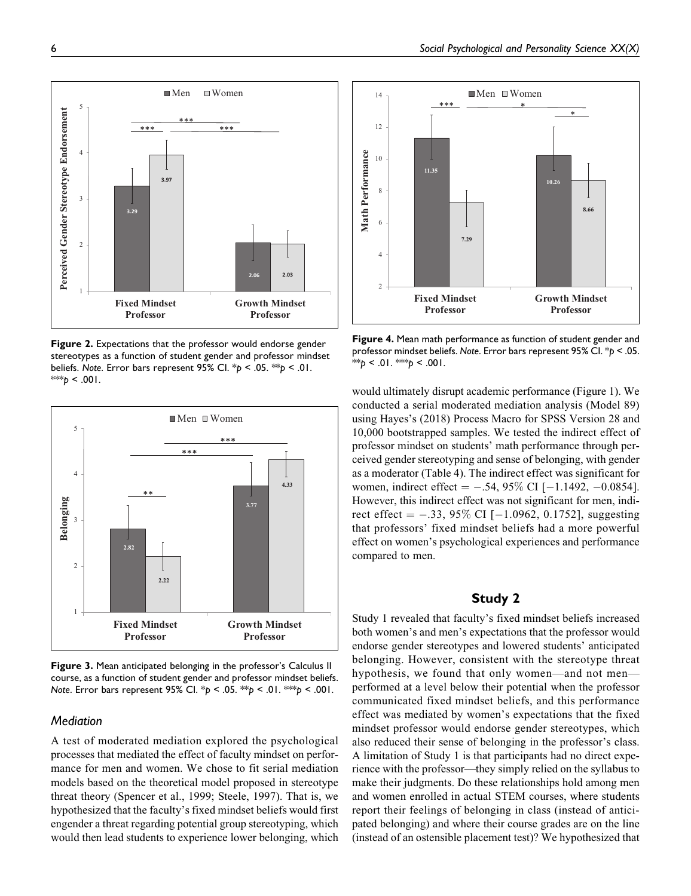<span id="page-5-0"></span>

**Figure 2.** Expectations that the professor would endorse gender stereotypes as a function of student gender and professor mindset beliefs. *Note*. Error bars represent 95% CI. \**p* < .05. \*\**p* < .01.  $*$ *\*\*p* < .001.



**Figure 3.** Mean anticipated belonging in the professor's Calculus II course, as a function of student gender and professor mindset beliefs. *Note*. Error bars represent 95% CI. \**p* < .05. \*\**p* < .01. \*\*\**p* < .001.

### *Mediation*

A test of moderated mediation explored the psychological processes that mediated the effect of faculty mindset on performance for men and women. We chose to fit serial mediation models based on the theoretical model proposed in stereotype threat theory ([Spencer et al., 1999; Steele, 1997\)](#page-10-0). That is, we hypothesized that the faculty's fixed mindset beliefs would first engender a threat regarding potential group stereotyping, which would then lead students to experience lower belonging, which



**Figure 4.** Mean math performance as function of student gender and professor mindset beliefs. *Note*. Error bars represent 95% CI. \**p* < .05. \*\**p* < .01. \*\**p* < .001.

would ultimately disrupt academic performance [\(Figure 1\)](#page-2-0). We conducted a serial moderated mediation analysis (Model 89) using [Hayes's \(2018\)](#page-9-0) Process Macro for SPSS Version 28 and 10,000 bootstrapped samples. We tested the indirect effect of professor mindset on students' math performance through perceived gender stereotyping and sense of belonging, with gender as a moderator [\(Table 4](#page-6-0)). The indirect effect was significant for women, indirect effect  $= -.54, 95\%$  CI [ $-1.1492, -0.0854$ ]. However, this indirect effect was not significant for men, indirect effect  $=$  -.33, 95% CI [-1.0962, 0.1752], suggesting that professors' fixed mindset beliefs had a more powerful effect on women's psychological experiences and performance compared to men.

# **Study 2**

Study 1 revealed that faculty's fixed mindset beliefs increased both women's and men's expectations that the professor would endorse gender stereotypes and lowered students' anticipated belonging. However, consistent with the stereotype threat hypothesis, we found that only women—and not men performed at a level below their potential when the professor communicated fixed mindset beliefs, and this performance effect was mediated by women's expectations that the fixed mindset professor would endorse gender stereotypes, which also reduced their sense of belonging in the professor's class. A limitation of Study 1 is that participants had no direct experience with the professor—they simply relied on the syllabus to make their judgments. Do these relationships hold among men and women enrolled in actual STEM courses, where students report their feelings of belonging in class (instead of anticipated belonging) and where their course grades are on the line (instead of an ostensible placement test)? We hypothesized that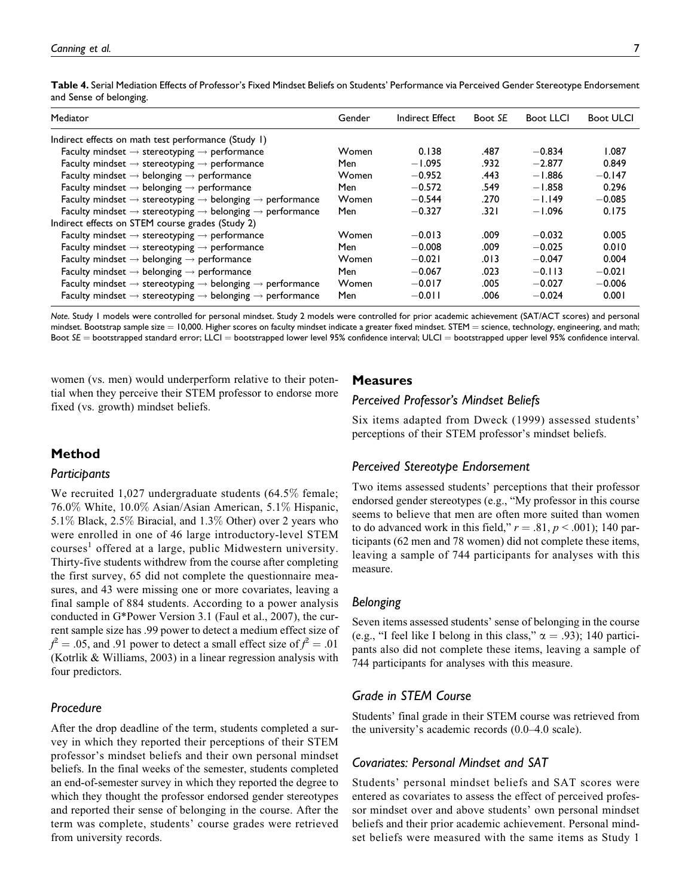Mediator Gender Indirect Effect Boot *SE* Boot LLCI Boot ULCI Indirect effects on math test performance (Study 1) Faculty mindset  $\rightarrow$  stereotyping  $\rightarrow$  performance Women 0.138 .487 -0.834 1.087 Faculty mindset  $\rightarrow$  stereotyping  $\rightarrow$  performance Men  $-1.095$  .932  $-2.877$  0.849 Faculty mindset  $\rightarrow$  belonging  $\rightarrow$  performance  $\rightarrow$  Momen  $\rightarrow$  0.952  $\rightarrow$  443  $\rightarrow$  1.886  $\rightarrow$  0.147 Faculty mindset  $\rightarrow$  belonging  $\rightarrow$  performance Men  $-0.572$  .549  $-1.858$  0.296 Faculty mindset  $\rightarrow$  stereotyping  $\rightarrow$  belonging  $\rightarrow$  performance Women  $-0.544$  .270  $-1.149$   $-0.085$ Faculty mindset  $\rightarrow$  stereotyping  $\rightarrow$  belonging  $\rightarrow$  performance Men  $-0.327$  .321  $-1.096$  0.175 Indirect effects on STEM course grades (Study 2) Faculty mindset  $\rightarrow$  stereotyping  $\rightarrow$  performance Women  $-0.013$  .009  $-0.032$  0.005 Faculty mindset  $\rightarrow$  stereotyping  $\rightarrow$  performance Men  $-0.008$  .009  $-0.025$  0.010 Faculty mindset  $\rightarrow$  belonging  $\rightarrow$  performance Women  $-0.021$  .013  $-0.047$  0.004 Faculty mindset  $\rightarrow$  belonging  $\rightarrow$  performance Men  $-0.067$  .023  $-0.113$   $-0.021$ Faculty mindset  $\rightarrow$  stereotyping  $\rightarrow$  belonging  $\rightarrow$  performance Women  $-0.017$  .005  $-0.027$   $-0.006$ Faculty mindset  $\rightarrow$  stereotyping  $\rightarrow$  belonging  $\rightarrow$  performance Men  $-0.011$  .006  $-0.024$  0.001

<span id="page-6-0"></span>**Table 4.** Serial Mediation Effects of Professor's Fixed Mindset Beliefs on Students' Performance via Perceived Gender Stereotype Endorsement and Sense of belonging.

*Note*. Study 1 models were controlled for personal mindset. Study 2 models were controlled for prior academic achievement (SAT/ACT scores) and personal mindset. Bootstrap sample size = 10,000. Higher scores on faculty mindset indicate a greater fixed mindset. STEM = science, technology, engineering, and math; Boot *SE* = bootstrapped standard error; LLCI = bootstrapped lower level 95% confidence interval; ULCI = bootstrapped upper level 95% confidence interval.

women (vs. men) would underperform relative to their potential when they perceive their STEM professor to endorse more fixed (vs. growth) mindset beliefs.

## **Measures**

# *Perceived Professor's Mindset Beliefs*

Six items adapted from [Dweck \(1999\)](#page-9-0) assessed students' perceptions of their STEM professor's mindset beliefs.

# **Method**

## *Participants*

We recruited 1,027 undergraduate students (64.5% female; 76.0% White, 10.0% Asian/Asian American, 5.1% Hispanic, 5.1% Black, 2.5% Biracial, and 1.3% Other) over 2 years who were enrolled in one of 46 large introductory-level STEM courses<sup>[1](#page-9-0)</sup> offered at a large, public Midwestern university. Thirty-five students withdrew from the course after completing the first survey, 65 did not complete the questionnaire measures, and 43 were missing one or more covariates, leaving a final sample of 884 students. According to a power analysis conducted in G\*Power Version 3.1 [\(Faul et al., 2007](#page-9-0)), the current sample size has .99 power to detect a medium effect size of  $f^2 = .05$ , and .91 power to detect a small effect size of  $f^2 = .01$ ([Kotrlik & Williams, 2003](#page-9-0)) in a linear regression analysis with four predictors.

#### *Procedure*

After the drop deadline of the term, students completed a survey in which they reported their perceptions of their STEM professor's mindset beliefs and their own personal mindset beliefs. In the final weeks of the semester, students completed an end-of-semester survey in which they reported the degree to which they thought the professor endorsed gender stereotypes and reported their sense of belonging in the course. After the term was complete, students' course grades were retrieved from university records.

# *Perceived Stereotype Endorsement*

Two items assessed students' perceptions that their professor endorsed gender stereotypes (e.g., "My professor in this course seems to believe that men are often more suited than women to do advanced work in this field,"  $r = .81$ ,  $p < .001$ ); 140 participants (62 men and 78 women) did not complete these items, leaving a sample of 744 participants for analyses with this measure.

#### *Belonging*

Seven items assessed students' sense of belonging in the course (e.g., "I feel like I belong in this class,"  $\alpha = .93$ ); 140 participants also did not complete these items, leaving a sample of 744 participants for analyses with this measure.

## *Grade in STEM Course*

Students' final grade in their STEM course was retrieved from the university's academic records (0.0–4.0 scale).

#### *Covariates: Personal Mindset and SAT*

Students' personal mindset beliefs and SAT scores were entered as covariates to assess the effect of perceived professor mindset over and above students' own personal mindset beliefs and their prior academic achievement. Personal mindset beliefs were measured with the same items as Study 1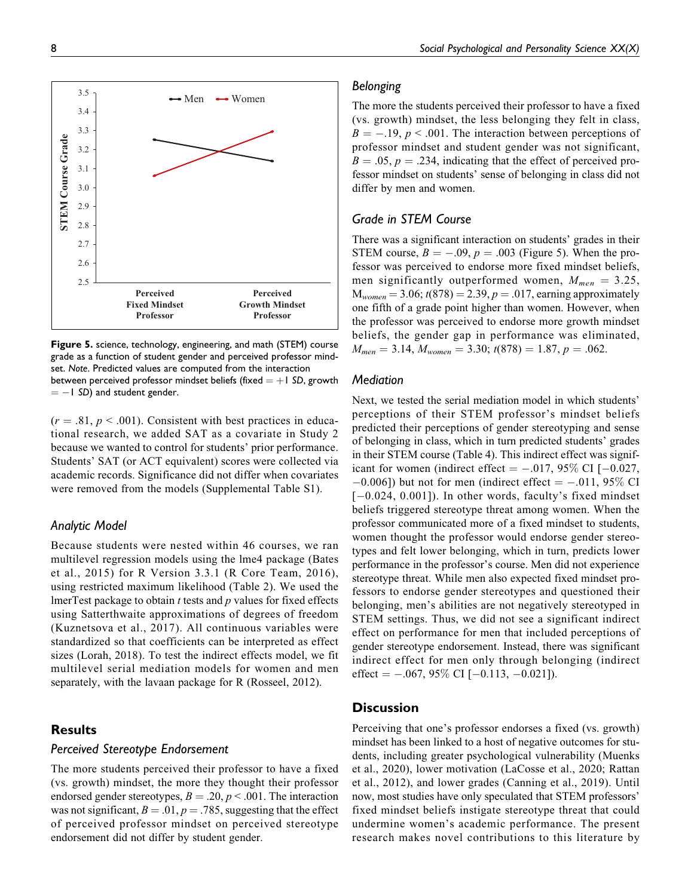

**Figure 5.** science, technology, engineering, and math (STEM) course grade as a function of student gender and perceived professor mindset. *Note*. Predicted values are computed from the interaction between perceived professor mindset beliefs (fixed  $= +1$  SD, growth  $= -1$  SD) and student gender.

 $(r = .81, p < .001)$ . Consistent with best practices in educational research, we added SAT as a covariate in Study 2 because we wanted to control for students' prior performance. Students' SAT (or ACT equivalent) scores were collected via academic records. Significance did not differ when covariates were removed from the models (Supplemental Table S1).

## *Analytic Model*

Because students were nested within 46 courses, we ran multilevel regression models using the lme4 package ([Bates](#page-9-0) [et al., 2015](#page-9-0)) for R Version 3.3.1 ([R Core Team, 2016](#page-10-0)), using restricted maximum likelihood [\(Table 2](#page-4-0)). We used the lmerTest package to obtain  $t$  tests and  $p$  values for fixed effects using Satterthwaite approximations of degrees of freedom ([Kuznetsova et al., 2017](#page-9-0)). All continuous variables were standardized so that coefficients can be interpreted as effect sizes ([Lorah, 2018\)](#page-9-0). To test the indirect effects model, we fit multilevel serial mediation models for women and men separately, with the lavaan package for R ([Rosseel, 2012](#page-10-0)).

# **Results**

## *Perceived Stereotype Endorsement*

The more students perceived their professor to have a fixed (vs. growth) mindset, the more they thought their professor endorsed gender stereotypes,  $B = .20$ ,  $p < .001$ . The interaction was not significant,  $B = .01$ ,  $p = .785$ , suggesting that the effect of perceived professor mindset on perceived stereotype endorsement did not differ by student gender.

## *Belonging*

The more the students perceived their professor to have a fixed (vs. growth) mindset, the less belonging they felt in class,  $B = -0.19$ ,  $p < 0.001$ . The interaction between perceptions of professor mindset and student gender was not significant,  $B = .05$ ,  $p = .234$ , indicating that the effect of perceived professor mindset on students' sense of belonging in class did not differ by men and women.

### *Grade in STEM Course*

There was a significant interaction on students' grades in their STEM course,  $B = -.09$ ,  $p = .003$  (Figure 5). When the professor was perceived to endorse more fixed mindset beliefs, men significantly outperformed women,  $M_{men} = 3.25$ ,  $M_{women} = 3.06$ ;  $t(878) = 2.39, p = .017$ , earning approximately one fifth of a grade point higher than women. However, when the professor was perceived to endorse more growth mindset beliefs, the gender gap in performance was eliminated,  $M_{men} = 3.14, M_{woman} = 3.30; t(878) = 1.87, p = .062.$ 

## *Mediation*

Next, we tested the serial mediation model in which students' perceptions of their STEM professor's mindset beliefs predicted their perceptions of gender stereotyping and sense of belonging in class, which in turn predicted students' grades in their STEM course ([Table 4\)](#page-6-0). This indirect effect was significant for women (indirect effect  $= -0.017, 95\%$  CI [ $-0.027$ ,  $-0.006$ ]) but not for men (indirect effect  $= -0.011, 95\%$  CI  $[-0.024, 0.001]$ ). In other words, faculty's fixed mindset beliefs triggered stereotype threat among women. When the professor communicated more of a fixed mindset to students, women thought the professor would endorse gender stereotypes and felt lower belonging, which in turn, predicts lower performance in the professor's course. Men did not experience stereotype threat. While men also expected fixed mindset professors to endorse gender stereotypes and questioned their belonging, men's abilities are not negatively stereotyped in STEM settings. Thus, we did not see a significant indirect effect on performance for men that included perceptions of gender stereotype endorsement. Instead, there was significant indirect effect for men only through belonging (indirect effect  $= -.067, 95\%$  CI  $[-0.113, -0.021]$ .

## **Discussion**

Perceiving that one's professor endorses a fixed (vs. growth) mindset has been linked to a host of negative outcomes for students, including greater psychological vulnerability ([Muenks](#page-9-0) [et al., 2020](#page-9-0)), lower motivation ([LaCosse et al., 2020;](#page-9-0) [Rattan](#page-10-0) [et al., 2012\)](#page-10-0), and lower grades ([Canning et al., 2019\)](#page-9-0). Until now, most studies have only speculated that STEM professors' fixed mindset beliefs instigate stereotype threat that could undermine women's academic performance. The present research makes novel contributions to this literature by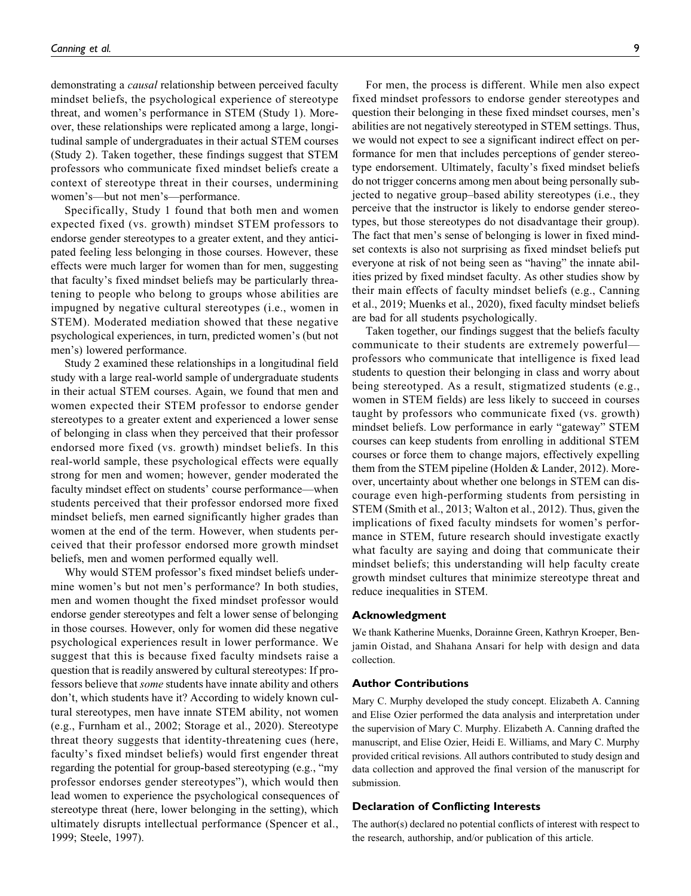demonstrating a *causal* relationship between perceived faculty mindset beliefs, the psychological experience of stereotype threat, and women's performance in STEM (Study 1). Moreover, these relationships were replicated among a large, longitudinal sample of undergraduates in their actual STEM courses (Study 2). Taken together, these findings suggest that STEM professors who communicate fixed mindset beliefs create a context of stereotype threat in their courses, undermining women's—but not men's—performance.

Specifically, Study 1 found that both men and women expected fixed (vs. growth) mindset STEM professors to endorse gender stereotypes to a greater extent, and they anticipated feeling less belonging in those courses. However, these effects were much larger for women than for men, suggesting that faculty's fixed mindset beliefs may be particularly threatening to people who belong to groups whose abilities are impugned by negative cultural stereotypes (i.e., women in STEM). Moderated mediation showed that these negative psychological experiences, in turn, predicted women's (but not men's) lowered performance.

Study 2 examined these relationships in a longitudinal field study with a large real-world sample of undergraduate students in their actual STEM courses. Again, we found that men and women expected their STEM professor to endorse gender stereotypes to a greater extent and experienced a lower sense of belonging in class when they perceived that their professor endorsed more fixed (vs. growth) mindset beliefs. In this real-world sample, these psychological effects were equally strong for men and women; however, gender moderated the faculty mindset effect on students' course performance—when students perceived that their professor endorsed more fixed mindset beliefs, men earned significantly higher grades than women at the end of the term. However, when students perceived that their professor endorsed more growth mindset beliefs, men and women performed equally well.

Why would STEM professor's fixed mindset beliefs undermine women's but not men's performance? In both studies, men and women thought the fixed mindset professor would endorse gender stereotypes and felt a lower sense of belonging in those courses. However, only for women did these negative psychological experiences result in lower performance. We suggest that this is because fixed faculty mindsets raise a question that is readily answered by cultural stereotypes: If professors believe that some students have innate ability and others don't, which students have it? According to widely known cultural stereotypes, men have innate STEM ability, not women (e.g., [Furnham et al., 2002](#page-9-0); [Storage et al., 2020\)](#page-10-0). Stereotype threat theory suggests that identity-threatening cues (here, faculty's fixed mindset beliefs) would first engender threat regarding the potential for group-based stereotyping (e.g., "my professor endorses gender stereotypes"), which would then lead women to experience the psychological consequences of stereotype threat (here, lower belonging in the setting), which ultimately disrupts intellectual performance [\(Spencer et al.,](#page-10-0) [1999](#page-10-0); [Steele, 1997](#page-10-0)).

For men, the process is different. While men also expect fixed mindset professors to endorse gender stereotypes and question their belonging in these fixed mindset courses, men's abilities are not negatively stereotyped in STEM settings. Thus, we would not expect to see a significant indirect effect on performance for men that includes perceptions of gender stereotype endorsement. Ultimately, faculty's fixed mindset beliefs do not trigger concerns among men about being personally subjected to negative group–based ability stereotypes (i.e., they perceive that the instructor is likely to endorse gender stereotypes, but those stereotypes do not disadvantage their group). The fact that men's sense of belonging is lower in fixed mindset contexts is also not surprising as fixed mindset beliefs put everyone at risk of not being seen as "having" the innate abilities prized by fixed mindset faculty. As other studies show by their main effects of faculty mindset beliefs (e.g., [Canning](#page-9-0) [et al., 2019; Muenks et al., 2020](#page-9-0)), fixed faculty mindset beliefs are bad for all students psychologically.

Taken together, our findings suggest that the beliefs faculty communicate to their students are extremely powerful professors who communicate that intelligence is fixed lead students to question their belonging in class and worry about being stereotyped. As a result, stigmatized students (e.g., women in STEM fields) are less likely to succeed in courses taught by professors who communicate fixed (vs. growth) mindset beliefs. Low performance in early "gateway" STEM courses can keep students from enrolling in additional STEM courses or force them to change majors, effectively expelling them from the STEM pipeline ([Holden & Lander, 2012\)](#page-9-0). Moreover, uncertainty about whether one belongs in STEM can discourage even high-performing students from persisting in STEM [\(Smith et al., 2013](#page-10-0); [Walton et al., 2012](#page-10-0)). Thus, given the implications of fixed faculty mindsets for women's performance in STEM, future research should investigate exactly what faculty are saying and doing that communicate their mindset beliefs; this understanding will help faculty create growth mindset cultures that minimize stereotype threat and reduce inequalities in STEM.

#### **Acknowledgment**

We thank Katherine Muenks, Dorainne Green, Kathryn Kroeper, Benjamin Oistad, and Shahana Ansari for help with design and data collection.

#### **Author Contributions**

Mary C. Murphy developed the study concept. Elizabeth A. Canning and Elise Ozier performed the data analysis and interpretation under the supervision of Mary C. Murphy. Elizabeth A. Canning drafted the manuscript, and Elise Ozier, Heidi E. Williams, and Mary C. Murphy provided critical revisions. All authors contributed to study design and data collection and approved the final version of the manuscript for submission.

#### **Declaration of Conflicting Interests**

The author(s) declared no potential conflicts of interest with respect to the research, authorship, and/or publication of this article.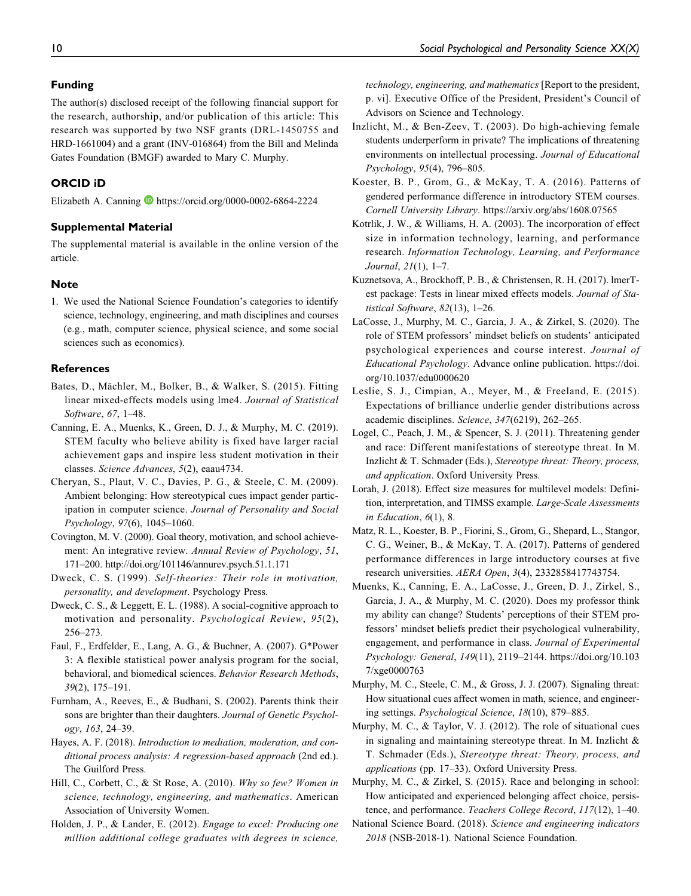#### <span id="page-9-0"></span>**Funding**

The author(s) disclosed receipt of the following financial support for the research, authorship, and/or publication of this article: This research was supported by two NSF grants (DRL-1450755 and HRD-1661004) and a grant (INV-016864) from the Bill and Melinda Gates Foundation (BMGF) awarded to Mary C. Murphy.

## **ORCID iD**

Elizabeth A. Canning D <https://orcid.org/0000-0002-6864-2224>

#### **Supplemental Material**

The supplemental material is available in the online version of the article.

#### **Note**

1. We used the National Science Foundation's categories to identify science, technology, engineering, and math disciplines and courses (e.g., math, computer science, physical science, and some social sciences such as economics).

#### **References**

- Bates, D., Mächler, M., Bolker, B., & Walker, S. (2015). Fitting linear mixed-effects models using lme4. Journal of Statistical Software, 67, 1–48.
- Canning, E. A., Muenks, K., Green, D. J., & Murphy, M. C. (2019). STEM faculty who believe ability is fixed have larger racial achievement gaps and inspire less student motivation in their classes. Science Advances, 5(2), eaau4734.
- Cheryan, S., Plaut, V. C., Davies, P. G., & Steele, C. M. (2009). Ambient belonging: How stereotypical cues impact gender participation in computer science. Journal of Personality and Social Psychology, 97(6), 1045–1060.
- Covington, M. V. (2000). Goal theory, motivation, and school achievement: An integrative review. Annual Review of Psychology, 51, 171–200.<http://doi.org/101146/annurev.psych.51.1.171>
- Dweck, C. S. (1999). Self-theories: Their role in motivation, personality, and development. Psychology Press.
- Dweck, C. S., & Leggett, E. L. (1988). A social-cognitive approach to motivation and personality. Psychological Review, 95(2), 256–273.
- Faul, F., Erdfelder, E., Lang, A. G., & Buchner, A. (2007). G\*Power 3: A flexible statistical power analysis program for the social, behavioral, and biomedical sciences. Behavior Research Methods, 39(2), 175–191.
- Furnham, A., Reeves, E., & Budhani, S. (2002). Parents think their sons are brighter than their daughters. Journal of Genetic Psychology, 163, 24–39.
- Hayes, A. F. (2018). Introduction to mediation, moderation, and conditional process analysis: A regression-based approach (2nd ed.). The Guilford Press.
- Hill, C., Corbett, C., & St Rose, A. (2010). Why so few? Women in science, technology, engineering, and mathematics. American Association of University Women.
- Holden, J. P., & Lander, E. (2012). Engage to excel: Producing one million additional college graduates with degrees in science,

technology, engineering, and mathematics [Report to the president, p. vi]. Executive Office of the President, President's Council of Advisors on Science and Technology.

- Inzlicht, M., & Ben-Zeev, T. (2003). Do high-achieving female students underperform in private? The implications of threatening environments on intellectual processing. Journal of Educational Psychology, 95(4), 796–805.
- Koester, B. P., Grom, G., & McKay, T. A. (2016). Patterns of gendered performance difference in introductory STEM courses. Cornell University Library.<https://arxiv.org/abs/1608.07565>
- Kotrlik, J. W., & Williams, H. A. (2003). The incorporation of effect size in information technology, learning, and performance research. Information Technology, Learning, and Performance Journal, 21(1), 1–7.
- Kuznetsova, A., Brockhoff, P. B., & Christensen, R. H. (2017). lmerTest package: Tests in linear mixed effects models. Journal of Statistical Software, 82(13), 1–26.
- LaCosse, J., Murphy, M. C., Garcia, J. A., & Zirkel, S. (2020). The role of STEM professors' mindset beliefs on students' anticipated psychological experiences and course interest. Journal of Educational Psychology. Advance online publication. [https://doi.](https://doi.org/10.1037/edu0000620) [org/10.1037/edu0000620](https://doi.org/10.1037/edu0000620)
- Leslie, S. J., Cimpian, A., Meyer, M., & Freeland, E. (2015). Expectations of brilliance underlie gender distributions across academic disciplines. Science, 347(6219), 262–265.
- Logel, C., Peach, J. M., & Spencer, S. J. (2011). Threatening gender and race: Different manifestations of stereotype threat. In M. Inzlicht & T. Schmader (Eds.), Stereotype threat: Theory, process, and application. Oxford University Press.
- Lorah, J. (2018). Effect size measures for multilevel models: Definition, interpretation, and TIMSS example. Large-Scale Assessments in Education, 6(1), 8.
- Matz, R. L., Koester, B. P., Fiorini, S., Grom, G., Shepard, L., Stangor, C. G., Weiner, B., & McKay, T. A. (2017). Patterns of gendered performance differences in large introductory courses at five research universities. AERA Open, 3(4), 2332858417743754.
- Muenks, K., Canning, E. A., LaCosse, J., Green, D. J., Zirkel, S., Garcia, J. A., & Murphy, M. C. (2020). Does my professor think my ability can change? Students' perceptions of their STEM professors' mindset beliefs predict their psychological vulnerability, engagement, and performance in class. Journal of Experimental Psychology: General, 149(11), 2119–2144. [https://doi.org/10.103](https://doi.org/10.1037/xge0000763) [7/xge0000763](https://doi.org/10.1037/xge0000763)
- Murphy, M. C., Steele, C. M., & Gross, J. J. (2007). Signaling threat: How situational cues affect women in math, science, and engineering settings. Psychological Science, 18(10), 879–885.
- Murphy, M. C., & Taylor, V. J. (2012). The role of situational cues in signaling and maintaining stereotype threat. In M. Inzlicht & T. Schmader (Eds.), Stereotype threat: Theory, process, and applications (pp. 17–33). Oxford University Press.

Murphy, M. C., & Zirkel, S. (2015). Race and belonging in school: How anticipated and experienced belonging affect choice, persistence, and performance. Teachers College Record, 117(12), 1–40.

National Science Board. (2018). Science and engineering indicators 2018 (NSB-2018-1). National Science Foundation.